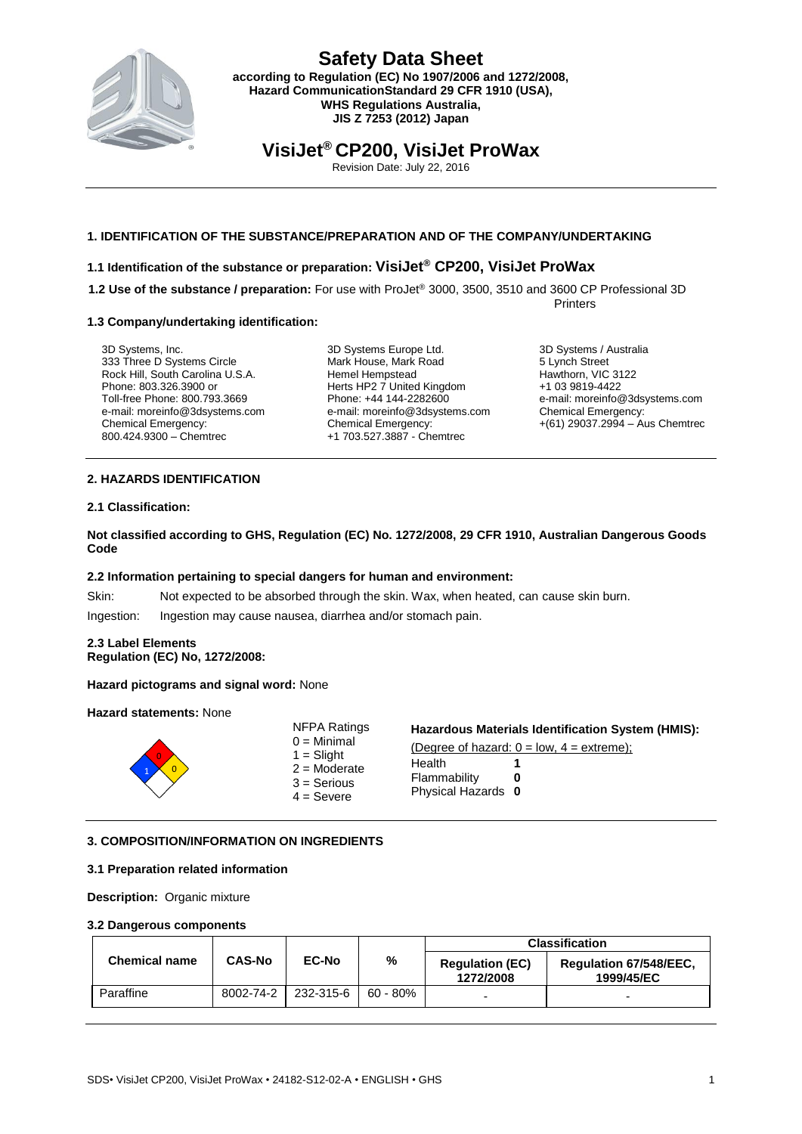

## **Safety Data Sheet according to Regulation (EC) No 1907/2006 and 1272/2008, Hazard CommunicationStandard 29 CFR 1910 (USA),**

**WHS Regulations Australia, JIS Z 7253 (2012) Japan**

**VisiJet® CP200, VisiJet ProWax**

Revision Date: July 22, 2016

## **1. IDENTIFICATION OF THE SUBSTANCE/PREPARATION AND OF THE COMPANY/UNDERTAKING**

## **1.1 Identification of the substance or preparation: VisiJet® CP200, VisiJet ProWax**

**1.2 Use of the substance / preparation:** For use with ProJet® 3000, 3500, 3510 and 3600 CP Professional 3D **Printers** 

#### **1.3 Company/undertaking identification:**

3D Systems, Inc. 333 Three D Systems Circle Rock Hill, South Carolina U.S.A. Phone: 803.326.3900 or Toll-free Phone: 800.793.3669 e-mail: moreinfo@3dsystems.com Chemical Emergency: 800.424.9300 – Chemtrec

3D Systems Europe Ltd. Mark House, Mark Road Hemel Hempstead Herts HP2 7 United Kingdom Phone: +44 144-2282600 e-mail: moreinfo@3dsystems.com Chemical Emergency: +1 703.527.3887 - Chemtrec

3D Systems / Australia 5 Lynch Street Hawthorn, VIC 3122 +1 03 9819-4422 e-mail: moreinfo@3dsystems.com Chemical Emergency: +(61) 29037.2994 – Aus Chemtrec

#### **2. HAZARDS IDENTIFICATION**

#### **2.1 Classification:**

**Not classified according to GHS, Regulation (EC) No. 1272/2008, 29 CFR 1910, Australian Dangerous Goods Code**

#### **2.2 Information pertaining to special dangers for human and environment:**

Skin: Not expected to be absorbed through the skin. Wax, when heated, can cause skin burn.

Ingestion: Ingestion may cause nausea, diarrhea and/or stomach pain.

#### **2.3 Label Elements Regulation (EC) No, 1272/2008:**

#### **Hazard pictograms and signal word:** None

#### **Hazard statements:** None



#### **3. COMPOSITION/INFORMATION ON INGREDIENTS**

#### **3.1 Preparation related information**

**Description:** Organic mixture

#### **3.2 Dangerous components**

| <b>Chemical name</b> | <b>CAS-No</b> | <b>EC-No</b> | %        | <b>Classification</b>               |                                      |
|----------------------|---------------|--------------|----------|-------------------------------------|--------------------------------------|
|                      |               |              |          | <b>Regulation (EC)</b><br>1272/2008 | Regulation 67/548/EEC.<br>1999/45/EC |
| Paraffine            | 8002-74-2     | 232-315-6    | 60 - 80% |                                     | -                                    |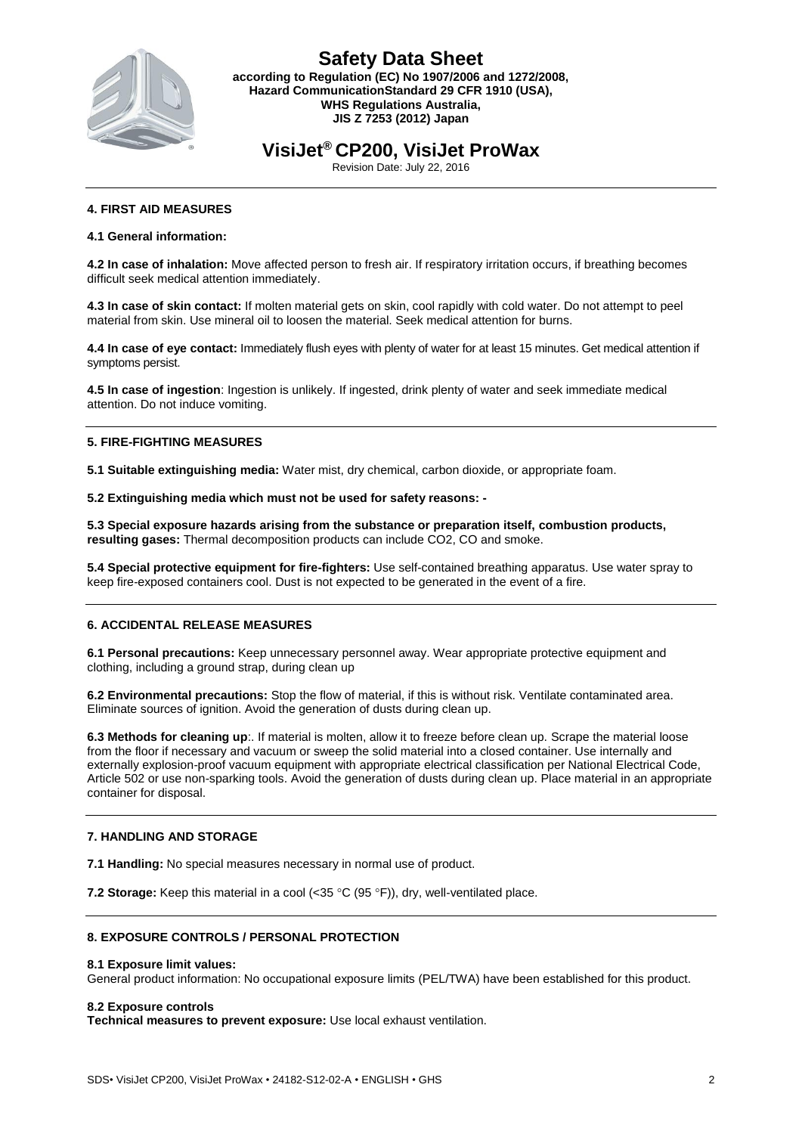

## **Safety Data Sheet according to Regulation (EC) No 1907/2006 and 1272/2008, Hazard CommunicationStandard 29 CFR 1910 (USA), WHS Regulations Australia, JIS Z 7253 (2012) Japan**

# **VisiJet® CP200, VisiJet ProWax**

Revision Date: July 22, 2016

## **4. FIRST AID MEASURES**

### **4.1 General information:**

**4.2 In case of inhalation:** Move affected person to fresh air. If respiratory irritation occurs, if breathing becomes difficult seek medical attention immediately.

**4.3 In case of skin contact:** If molten material gets on skin, cool rapidly with cold water. Do not attempt to peel material from skin. Use mineral oil to loosen the material. Seek medical attention for burns.

**4.4 In case of eye contact:** Immediately flush eyes with plenty of water for at least 15 minutes. Get medical attention if symptoms persist.

**4.5 In case of ingestion**: Ingestion is unlikely. If ingested, drink plenty of water and seek immediate medical attention. Do not induce vomiting.

#### **5. FIRE-FIGHTING MEASURES**

**5.1 Suitable extinguishing media:** Water mist, dry chemical, carbon dioxide, or appropriate foam.

**5.2 Extinguishing media which must not be used for safety reasons: -**

**5.3 Special exposure hazards arising from the substance or preparation itself, combustion products, resulting gases:** Thermal decomposition products can include CO2, CO and smoke.

**5.4 Special protective equipment for fire-fighters:** Use self-contained breathing apparatus. Use water spray to keep fire-exposed containers cool. Dust is not expected to be generated in the event of a fire.

## **6. ACCIDENTAL RELEASE MEASURES**

**6.1 Personal precautions:** Keep unnecessary personnel away. Wear appropriate protective equipment and clothing, including a ground strap, during clean up

**6.2 Environmental precautions:** Stop the flow of material, if this is without risk. Ventilate contaminated area. Eliminate sources of ignition. Avoid the generation of dusts during clean up.

**6.3 Methods for cleaning up**:. If material is molten, allow it to freeze before clean up. Scrape the material loose from the floor if necessary and vacuum or sweep the solid material into a closed container. Use internally and externally explosion-proof vacuum equipment with appropriate electrical classification per National Electrical Code, Article 502 or use non-sparking tools. Avoid the generation of dusts during clean up. Place material in an appropriate container for disposal.

#### **7. HANDLING AND STORAGE**

**7.1 Handling:** No special measures necessary in normal use of product.

**7.2 Storage:** Keep this material in a cool (<35 °C (95 °F)), dry, well-ventilated place.

#### **8. EXPOSURE CONTROLS / PERSONAL PROTECTION**

#### **8.1 Exposure limit values:**

General product information: No occupational exposure limits (PEL/TWA) have been established for this product.

#### **8.2 Exposure controls**

**Technical measures to prevent exposure:** Use local exhaust ventilation.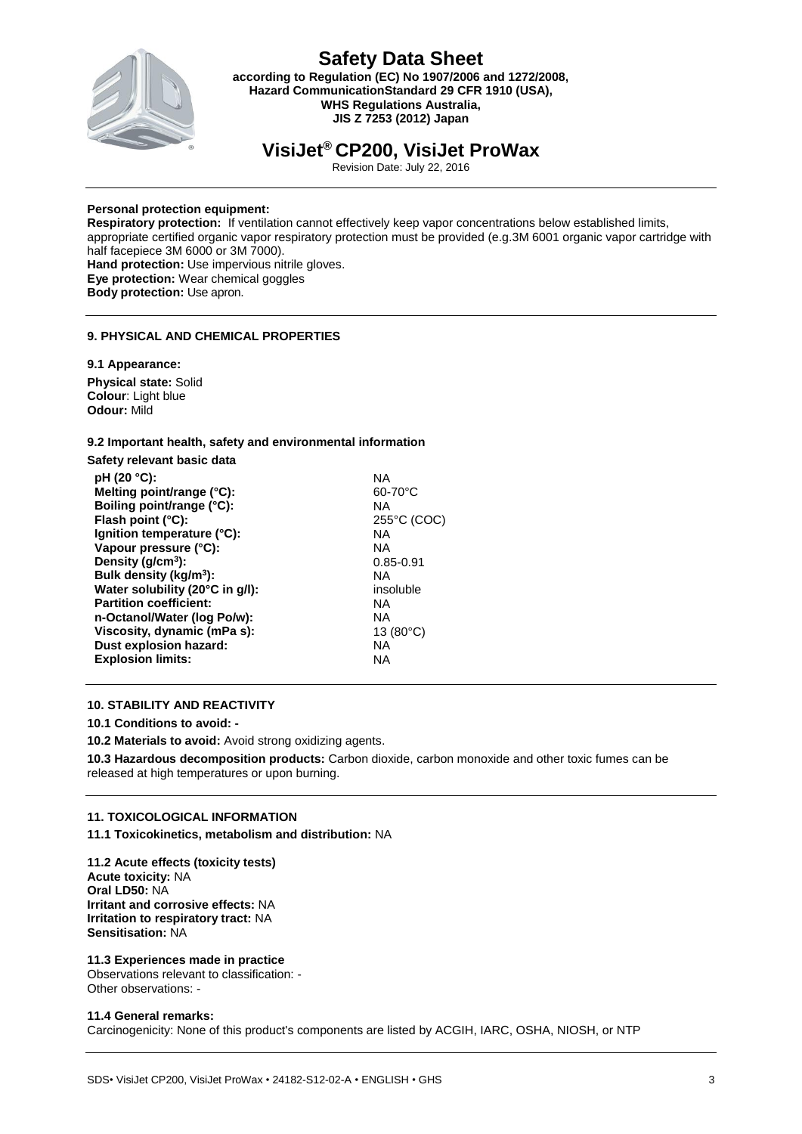

## **Safety Data Sheet**

**according to Regulation (EC) No 1907/2006 and 1272/2008, Hazard CommunicationStandard 29 CFR 1910 (USA), WHS Regulations Australia, JIS Z 7253 (2012) Japan**

## **VisiJet® CP200, VisiJet ProWax**

Revision Date: July 22, 2016

#### **Personal protection equipment:**

**Respiratory protection:** If ventilation cannot effectively keep vapor concentrations below established limits, appropriate certified organic vapor respiratory protection must be provided (e.g.3M 6001 organic vapor cartridge with half facepiece 3M 6000 or 3M 7000). **Hand protection:** Use impervious nitrile gloves. **Eye protection:** Wear chemical goggles **Body protection:** Use apron.

### **9. PHYSICAL AND CHEMICAL PROPERTIES**

#### **9.1 Appearance:**

**Physical state:** Solid **Colour**: Light blue **Odour:** Mild

#### **9.2 Important health, safety and environmental information**

**Safety relevant basic data**

| pH (20 °C):                        | ΝA                 |
|------------------------------------|--------------------|
| Melting point/range (°C):          | 60-70°C            |
| Boiling point/range (°C):          | ΝA                 |
| Flash point (°C):                  | 255°C (COC)        |
| Ignition temperature (°C):         | ΝA                 |
| Vapour pressure (°C):              | ΝA                 |
| Density (g/cm <sup>3</sup> ):      | 0.85-0.91          |
| Bulk density (kg/m <sup>3</sup> ): | ΝA                 |
| Water solubility (20°C in g/l):    | insoluble          |
| <b>Partition coefficient:</b>      | ΝA                 |
| n-Octanol/Water (log Po/w):        | ΝA                 |
| Viscosity, dynamic (mPa s):        | 13 $(80^{\circ}C)$ |
| Dust explosion hazard:             | ΝA                 |
| <b>Explosion limits:</b>           | <b>NA</b>          |
|                                    |                    |

#### **10. STABILITY AND REACTIVITY**

**10.1 Conditions to avoid: -**

**10.2 Materials to avoid:** Avoid strong oxidizing agents.

**10.3 Hazardous decomposition products:** Carbon dioxide, carbon monoxide and other toxic fumes can be released at high temperatures or upon burning.

## **11. TOXICOLOGICAL INFORMATION**

**11.1 Toxicokinetics, metabolism and distribution:** NA

**11.2 Acute effects (toxicity tests) Acute toxicity:** NA **Oral LD50:** NA **Irritant and corrosive effects:** NA **Irritation to respiratory tract:** NA **Sensitisation:** NA

**11.3 Experiences made in practice** Observations relevant to classification: - Other observations: -

#### **11.4 General remarks:**

Carcinogenicity: None of this product's components are listed by ACGIH, IARC, OSHA, NIOSH, or NTP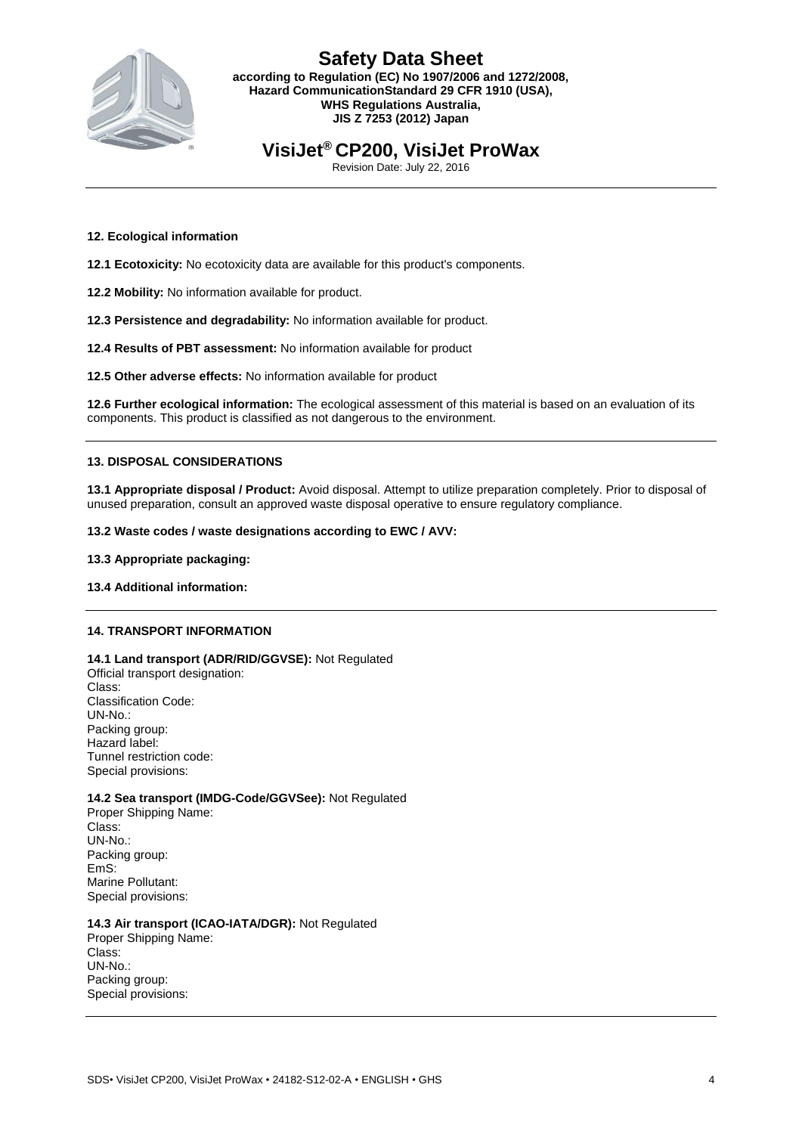

## **Safety Data Sheet according to Regulation (EC) No 1907/2006 and 1272/2008, Hazard CommunicationStandard 29 CFR 1910 (USA), WHS Regulations Australia, JIS Z 7253 (2012) Japan**

# **VisiJet® CP200, VisiJet ProWax**

Revision Date: July 22, 2016

### **12. Ecological information**

- **12.1 Ecotoxicity:** No ecotoxicity data are available for this product's components.
- **12.2 Mobility:** No information available for product.
- **12.3 Persistence and degradability:** No information available for product.
- **12.4 Results of PBT assessment:** No information available for product
- **12.5 Other adverse effects:** No information available for product

**12.6 Further ecological information:** The ecological assessment of this material is based on an evaluation of its components. This product is classified as not dangerous to the environment.

#### **13. DISPOSAL CONSIDERATIONS**

**13.1 Appropriate disposal / Product:** Avoid disposal. Attempt to utilize preparation completely. Prior to disposal of unused preparation, consult an approved waste disposal operative to ensure regulatory compliance.

#### **13.2 Waste codes / waste designations according to EWC / AVV:**

**13.3 Appropriate packaging:**

## **13.4 Additional information:**

## **14. TRANSPORT INFORMATION**

#### **14.1 Land transport (ADR/RID/GGVSE):** Not Regulated Official transport designation: Class: Classification Code: UN-No.: Packing group:

Hazard label: Tunnel restriction code: Special provisions:

## **14.2 Sea transport (IMDG-Code/GGVSee):** Not Regulated

Proper Shipping Name: Class: UN-No.: Packing group: EmS: Marine Pollutant: Special provisions:

## **14.3 Air transport (ICAO-IATA/DGR):** Not Regulated

Proper Shipping Name: Class: UN-No.: Packing group: Special provisions: